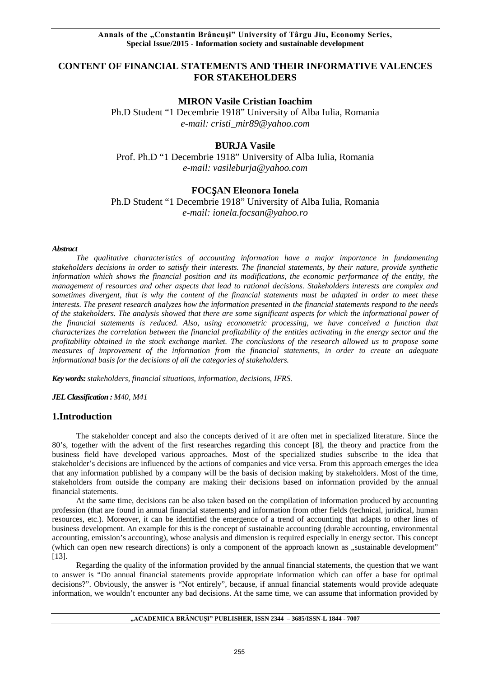# **CONTENT OF FINANCIAL STATEMENTS AND THEIR INFORMATIVE VALENCES FOR STAKEHOLDERS**

## **MIRON Vasile Cristian Ioachim**

Ph.D Student "1 Decembrie 1918" University of Alba Iulia, Romania *e-mail: cristi\_mir89@yahoo.com*

# **BURJA Vasile**

Prof. Ph.D "1 Decembrie 1918" University of Alba Iulia, Romania *e-mail: vasileburja@yahoo.com*

## **FOC**Ș**AN Eleonora Ionela**

Ph.D Student "1 Decembrie 1918" University of Alba Iulia, Romania *e-mail: ionela.focsan@yahoo.ro*

#### *Abstract*

*The qualitative characteristics of accounting information have a major importance in fundamenting stakeholders decisions in order to satisfy their interests. The financial statements, by their nature, provide synthetic information which shows the financial position and its modifications, the economic performance of the entity, the management of resources and other aspects that lead to rational decisions. Stakeholders interests are complex and sometimes divergent, that is why the content of the financial statements must be adapted in order to meet these interests. The present research analyzes how the information presented in the financial statements respond to the needs of the stakeholders. The analysis showed that there are some significant aspects for which the informational power of the financial statements is reduced. Also, using econometric processing, we have conceived a function that characterizes the correlation between the financial profitability of the entities activating in the energy sector and the profitability obtained in the stock exchange market. The conclusions of the research allowed us to propose some measures of improvement of the information from the financial statements, in order to create an adequate informational basis for the decisions of all the categories of stakeholders.*

*Key words: stakeholders, financial situations, information, decisions, IFRS.*

*JEL Classification : M40, M41*

## **1.Introduction**

The stakeholder concept and also the concepts derived of it are often met in specialized literature. Since the 80's, together with the advent of the first researches regarding this concept [8], the theory and practice from the business field have developed various approaches. Most of the specialized studies subscribe to the idea that stakeholder's decisions are influenced by the actions of companies and vice versa. From this approach emerges the idea that any information published by a company will be the basis of decision making by stakeholders. Most of the time, stakeholders from outside the company are making their decisions based on information provided by the annual financial statements.

At the same time, decisions can be also taken based on the compilation of information produced by accounting profession (that are found in annual financial statements) and information from other fields (technical, juridical, human resources, etc.). Moreover, it can be identified the emergence of a trend of accounting that adapts to other lines of business development. An example for this is the concept of sustainable accounting (durable accounting, environmental accounting, emission's accounting), whose analysis and dimension is required especially in energy sector. This concept (which can open new research directions) is only a component of the approach known as "sustainable development" [13].

Regarding the quality of the information provided by the annual financial statements, the question that we want to answer is "Do annual financial statements provide appropriate information which can offer a base for optimal decisions?". Obviously, the answer is "Not entirely", because, if annual financial statements would provide adequate information, we wouldn't encounter any bad decisions. At the same time, we can assume that information provided by

#### **"ACADEMICA BRÂNCUŞI" PUBLISHER, ISSN 2344 – 3685/ISSN-L 1844 - 7007**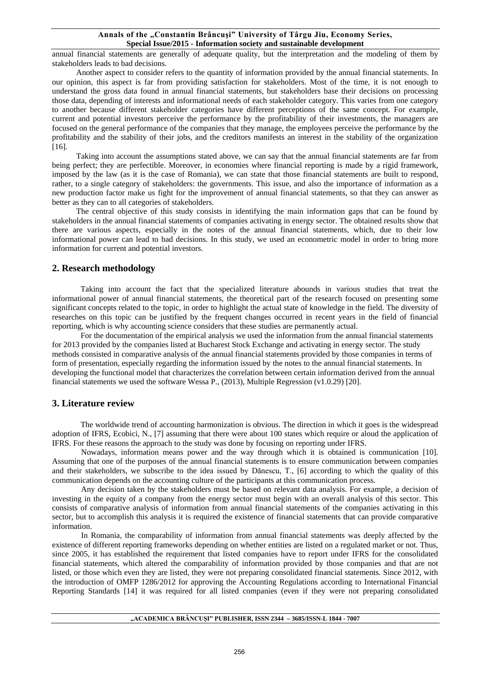annual financial statements are generally of adequate quality, but the interpretation and the modeling of them by stakeholders leads to bad decisions.

Another aspect to consider refers to the quantity of information provided by the annual financial statements. In our opinion, this aspect is far from providing satisfaction for stakeholders. Most of the time, it is not enough to understand the gross data found in annual financial statements, but stakeholders base their decisions on processing those data, depending of interests and informational needs of each stakeholder category. This varies from one category to another because different stakeholder categories have different perceptions of the same concept. For example, current and potential investors perceive the performance by the profitability of their investments, the managers are focused on the general performance of the companies that they manage, the employees perceive the performance by the profitability and the stability of their jobs, and the creditors manifests an interest in the stability of the organization [16].

Taking into account the assumptions stated above, we can say that the annual financial statements are far from being perfect; they are perfectible. Moreover, in economies where financial reporting is made by a rigid framework, imposed by the law (as it is the case of Romania), we can state that those financial statements are built to respond, rather, to a single category of stakeholders: the governments. This issue, and also the importance of information as a new production factor make us fight for the improvement of annual financial statements, so that they can answer as better as they can to all categories of stakeholders.

The central objective of this study consists in identifying the main information gaps that can be found by stakeholders in the annual financial statements of companies activating in energy sector. The obtained results show that there are various aspects, especially in the notes of the annual financial statements, which, due to their low informational power can lead to bad decisions. In this study, we used an econometric model in order to bring more information for current and potential investors.

## **2. Research methodology**

Taking into account the fact that the specialized literature abounds in various studies that treat the informational power of annual financial statements, the theoretical part of the research focused on presenting some significant concepts related to the topic, in order to highlight the actual state of knowledge in the field. The diversity of researches on this topic can be justified by the frequent changes occurred in recent years in the field of financial reporting, which is why accounting science considers that these studies are permanently actual.

For the documentation of the empirical analysis we used the information from the annual financial statements for 2013 provided by the companies listed at Bucharest Stock Exchange and activating in energy sector. The study methods consisted in comparative analysis of the annual financial statements provided by those companies in terms of form of presentation, especially regarding the information issued by the notes to the annual financial statements. In developing the functional model that characterizes the correlation between certain information derived from the annual financial statements we used the software Wessa P., (2013), Multiple Regression (v1.0.29) [20].

## **3. Literature review**

The worldwide trend of accounting harmonization is obvious. The direction in which it goes is the widespread adoption of IFRS, Ecobici, N., [7] assuming that there were about 100 states which require or aloud the application of IFRS. For these reasons the approach to the study was done by focusing on reporting under IFRS.

Nowadays, information means power and the way through which it is obtained is communication [10]. Assuming that one of the purposes of the annual financial statements is to ensure communication between companies and their stakeholders, we subscribe to the idea issued by Dănescu, T., [6] according to which the quality of this communication depends on the accounting culture of the participants at this communication process.

Any decision taken by the stakeholders must be based on relevant data analysis. For example, a decision of investing in the equity of a company from the energy sector must begin with an overall analysis of this sector. This consists of comparative analysis of information from annual financial statements of the companies activating in this sector, but to accomplish this analysis it is required the existence of financial statements that can provide comparative information.

In Romania, the comparability of information from annual financial statements was deeply affected by the existence of different reporting frameworks depending on whether entities are listed on a regulated market or not. Thus, since 2005, it has established the requirement that listed companies have to report under IFRS for the consolidated financial statements, which altered the comparability of information provided by those companies and that are not listed, or those which even they are listed, they were not preparing consolidated financial statements. Since 2012, with the introduction of OMFP 1286/2012 for approving the Accounting Regulations according to International Financial Reporting Standards [14] it was required for all listed companies (even if they were not preparing consolidated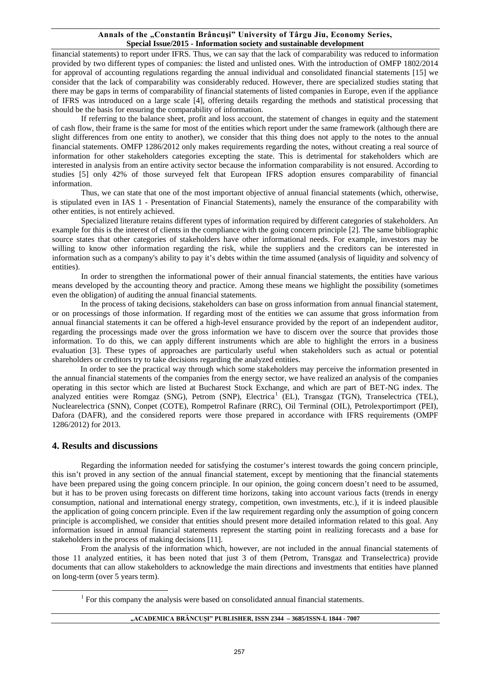financial statements) to report under IFRS. Thus, we can say that the lack of comparability was reduced to information provided by two different types of companies: the listed and unlisted ones. With the introduction of OMFP 1802/2014 for approval of accounting regulations regarding the annual individual and consolidated financial statements [15] we consider that the lack of comparability was considerably reduced. However, there are specialized studies stating that there may be gaps in terms of comparability of financial statements of listed companies in Europe, even if the appliance of IFRS was introduced on a large scale [4], offering details regarding the methods and statistical processing that should be the basis for ensuring the comparability of information.

If referring to the balance sheet, profit and loss account, the statement of changes in equity and the statement of cash flow, their frame is the same for most of the entities which report under the same framework (although there are slight differences from one entity to another), we consider that this thing does not apply to the notes to the annual financial statements. OMFP 1286/2012 only makes requirements regarding the notes, without creating a real source of information for other stakeholders categories excepting the state. This is detrimental for stakeholders which are interested in analysis from an entire activity sector because the information comparability is not ensured. According to studies [5] only 42% of those surveyed felt that European IFRS adoption ensures comparability of financial information.

Thus, we can state that one of the most important objective of annual financial statements (which, otherwise, is stipulated even in IAS 1 - Presentation of Financial Statements), namely the ensurance of the comparability with other entities, is not entirely achieved.

Specialized literature retains different types of information required by different categories of stakeholders. An example for this is the interest of clients in the compliance with the going concern principle [2]. The same bibliographic source states that other categories of stakeholders have other informational needs. For example, investors may be willing to know other information regarding the risk, while the suppliers and the creditors can be interested in information such as a company's ability to pay it's debts within the time assumed (analysis of liquidity and solvency of entities).

In order to strengthen the informational power of their annual financial statements, the entities have various means developed by the accounting theory and practice. Among these means we highlight the possibility (sometimes even the obligation) of auditing the annual financial statements.

In the process of taking decisions, stakeholders can base on gross information from annual financial statement, or on processings of those information. If regarding most of the entities we can assume that gross information from annual financial statements it can be offered a high-level ensurance provided by the report of an independent auditor, regarding the processings made over the gross information we have to discern over the source that provides those information. To do this, we can apply different instruments which are able to highlight the errors in a business evaluation [3]. These types of approaches are particularly useful when stakeholders such as actual or potential shareholders or creditors try to take decisions regarding the analyzed entities.

In order to see the practical way through which some stakeholders may perceive the information presented in the annual financial statements of the companies from the energy sector, we have realized an analysis of the companies operating in this sector which are listed at Bucharest Stock Exchange, and which are part of BET-NG index. The analyzed entities were Romgaz (SNG), Petrom (SNP), Electrica<sup>[1](#page-2-0)</sup> (EL), Transgaz (TGN), Transelectrica (TEL), Nuclearelectrica (SNN), Conpet (COTE), Rompetrol Rafinare (RRC), Oil Terminal (OIL), Petrolexportimport (PEI), Dafora (DAFR), and the considered reports were those prepared in accordance with IFRS requirements (OMPF 1286/2012) for 2013.

## **4. Results and discussions**

<span id="page-2-0"></span> $\overline{a}$ 

Regarding the information needed for satisfying the costumer's interest towards the going concern principle, this isn't proved in any section of the annual financial statement, except by mentioning that the financial statements have been prepared using the going concern principle. In our opinion, the going concern doesn't need to be assumed, but it has to be proven using forecasts on different time horizons, taking into account various facts (trends in energy consumption, national and international energy strategy, competition, own investments, etc.), if it is indeed plausible the application of going concern principle. Even if the law requirement regarding only the assumption of going concern principle is accomplished, we consider that entities should present more detailed information related to this goal. Any information issued in annual financial statements represent the starting point in realizing forecasts and a base for stakeholders in the process of making decisions [11].

From the analysis of the information which, however, are not included in the annual financial statements of those 11 analyzed entities, it has been noted that just 3 of them (Petrom, Transgaz and Transelectrica) provide documents that can allow stakeholders to acknowledge the main directions and investments that entities have planned on long-term (over 5 years term).

 $<sup>1</sup>$  For this company the analysis were based on consolidated annual financial statements.</sup>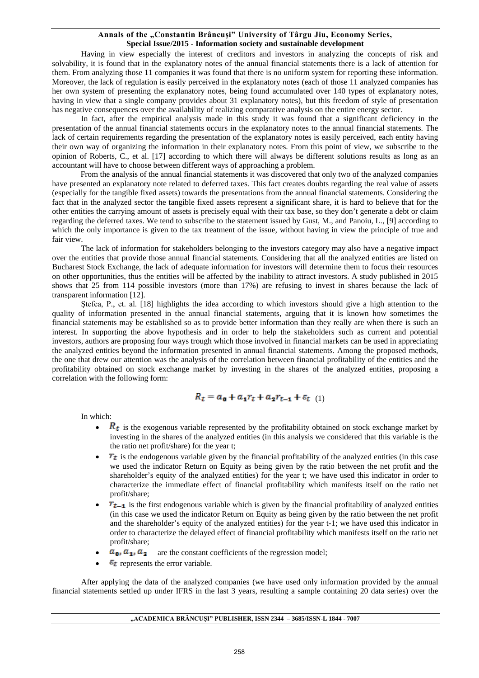Having in view especially the interest of creditors and investors in analyzing the concepts of risk and solvability, it is found that in the explanatory notes of the annual financial statements there is a lack of attention for them. From analyzing those 11 companies it was found that there is no uniform system for reporting these information. Moreover, the lack of regulation is easily perceived in the explanatory notes (each of those 11 analyzed companies has her own system of presenting the explanatory notes, being found accumulated over 140 types of explanatory notes, having in view that a single company provides about 31 explanatory notes), but this freedom of style of presentation has negative consequences over the availability of realizing comparative analysis on the entire energy sector.

In fact, after the empirical analysis made in this study it was found that a significant deficiency in the presentation of the annual financial statements occurs in the explanatory notes to the annual financial statements. The lack of certain requirements regarding the presentation of the explanatory notes is easily perceived, each entity having their own way of organizing the information in their explanatory notes. From this point of view, we subscribe to the opinion of Roberts, C., et al. [17] according to which there will always be different solutions results as long as an accountant will have to choose between different ways of approaching a problem.

From the analysis of the annual financial statements it was discovered that only two of the analyzed companies have presented an explanatory note related to deferred taxes. This fact creates doubts regarding the real value of assets (especially for the tangible fixed assets) towards the presentations from the annual financial statements. Considering the fact that in the analyzed sector the tangible fixed assets represent a significant share, it is hard to believe that for the other entities the carrying amount of assets is precisely equal with their tax base, so they don't generate a debt or claim regarding the deferred taxes. We tend to subscribe to the statement issued by Gust, M., and Panoiu, L., [9] according to which the only importance is given to the tax treatment of the issue, without having in view the principle of true and fair view.

The lack of information for stakeholders belonging to the investors category may also have a negative impact over the entities that provide those annual financial statements. Considering that all the analyzed entities are listed on Bucharest Stock Exchange, the lack of adequate information for investors will determine them to focus their resources on other opportunities, thus the entities will be affected by the inability to attract investors. A study published in 2015 shows that 25 from 114 possible investors (more than 17%) are refusing to invest in shares because the lack of transparent information [12].

Ştefea, P., et. al. [18] highlights the idea according to which investors should give a high attention to the quality of information presented in the annual financial statements, arguing that it is known how sometimes the financial statements may be established so as to provide better information than they really are when there is such an interest. In supporting the above hypothesis and in order to help the stakeholders such as current and potential investors, authors are proposing four ways trough which those involved in financial markets can be used in appreciating the analyzed entities beyond the information presented in annual financial statements. Among the proposed methods, the one that drew our attention was the analysis of the correlation between financial profitability of the entities and the profitability obtained on stock exchange market by investing in the shares of the analyzed entities, proposing a correlation with the following form:

$$
R_t = a_0 + a_1 r_t + a_2 r_{t-1} + \varepsilon_{t} \quad (1)
$$

In which:

- $\mathbf{R}_{t}$  is the exogenous variable represented by the profitability obtained on stock exchange market by investing in the shares of the analyzed entities (in this analysis we considered that this variable is the the ratio net profit/share) for the year t;
- $\mathbb{F}_{\mathbb{Z}}$  is the endogenous variable given by the financial profitability of the analyzed entities (in this case we used the indicator Return on Equity as being given by the ratio between the net profit and the shareholder's equity of the analyzed entities) for the year t; we have used this indicator in order to characterize the immediate effect of financial profitability which manifests itself on the ratio net profit/share;
- $r_{t-1}$  is the first endogenous variable which is given by the financial profitability of analyzed entities (in this case we used the indicator Return on Equity as being given by the ratio between the net profit and the shareholder's equity of the analyzed entities) for the year t-1; we have used this indicator in order to characterize the delayed effect of financial profitability which manifests itself on the ratio net profit/share;
- $a_0$ ,  $a_1$ ,  $a_2$  are the constant coefficients of the regression model;
- $\epsilon_t$  represents the error variable.

After applying the data of the analyzed companies (we have used only information provided by the annual financial statements settled up under IFRS in the last 3 years, resulting a sample containing 20 data series) over the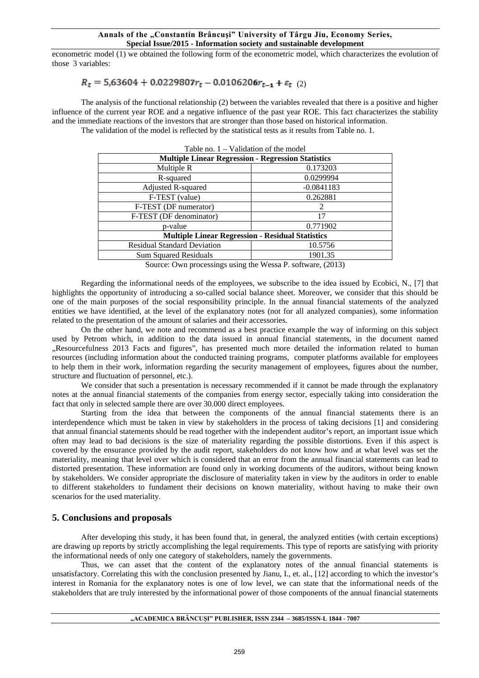econometric model (1) we obtained the following form of the econometric model, which characterizes the evolution of those 3 variables:

# $R_t = 5.63604 + 0.0229807r_t - 0.0106206r_{t-1} + \varepsilon_{t}$  (2)

The analysis of the functional relationship (2) between the variables revealed that there is a positive and higher influence of the current year ROE and a negative influence of the past year ROE. This fact characterizes the stability and the immediate reactions of the investors that are stronger than those based on historical information.

The validation of the model is reflected by the statistical tests as it results from Table no. 1.

| Table no. $1 -$ Validation of the model                   |               |
|-----------------------------------------------------------|---------------|
| <b>Multiple Linear Regression - Regression Statistics</b> |               |
| Multiple R                                                | 0.173203      |
| R-squared                                                 | 0.0299994     |
| Adjusted R-squared                                        | $-0.0841183$  |
| F-TEST (value)                                            | 0.262881      |
| F-TEST (DF numerator)                                     | $\mathcal{L}$ |
| F-TEST (DF denominator)                                   | 17            |
| p-value                                                   | 0.771902      |
| <b>Multiple Linear Regression - Residual Statistics</b>   |               |
| <b>Residual Standard Deviation</b>                        | 10.5756       |
| <b>Sum Squared Residuals</b>                              | 1901.35       |
|                                                           |               |

Source: Own processings using the Wessa P. software, (2013)

Regarding the informational needs of the employees, we subscribe to the idea issued by Ecobici, N., [7] that highlights the opportunity of introducing a so-called social balance sheet. Moreover, we consider that this should be one of the main purposes of the social responsibility principle. In the annual financial statements of the analyzed entities we have identified, at the level of the explanatory notes (not for all analyzed companies), some information related to the presentation of the amount of salaries and their accessories.

On the other hand, we note and recommend as a best practice example the way of informing on this subject used by Petrom which, in addition to the data issued in annual financial statements, in the document named "Resourcefulness 2013 Facts and figures", has presented much more detailed the information related to human resources (including information about the conducted training programs, computer platforms available for employees to help them in their work, information regarding the security management of employees, figures about the number, structure and fluctuation of personnel, etc.).

We consider that such a presentation is necessary recommended if it cannot be made through the explanatory notes at the annual financial statements of the companies from energy sector, especially taking into consideration the fact that only in selected sample there are over 30.000 direct employees.

Starting from the idea that between the components of the annual financial statements there is an interdependence which must be taken in view by stakeholders in the process of taking decisions [1] and considering that annual financial statements should be read together with the independent auditor's report, an important issue which often may lead to bad decisions is the size of materiality regarding the possible distortions. Even if this aspect is covered by the ensurance provided by the audit report, stakeholders do not know how and at what level was set the materiality, meaning that level over which is considered that an error from the annual financial statements can lead to distorted presentation. These information are found only in working documents of the auditors, without being known by stakeholders. We consider appropriate the disclosure of materiality taken in view by the auditors in order to enable to different stakeholders to fundament their decisions on known materiality, without having to make their own scenarios for the used materiality.

## **5. Conclusions and proposals**

After developing this study, it has been found that, in general, the analyzed entities (with certain exceptions) are drawing up reports by strictly accomplishing the legal requirements. This type of reports are satisfying with priority the informational needs of only one category of stakeholders, namely the governments.

Thus, we can asset that the content of the explanatory notes of the annual financial statements is unsatisfactory. Correlating this with the conclusion presented by Jianu, I., et. al., [12] according to which the investor's interest in Romania for the explanatory notes is one of low level, we can state that the informational needs of the stakeholders that are truly interested by the informational power of those components of the annual financial statements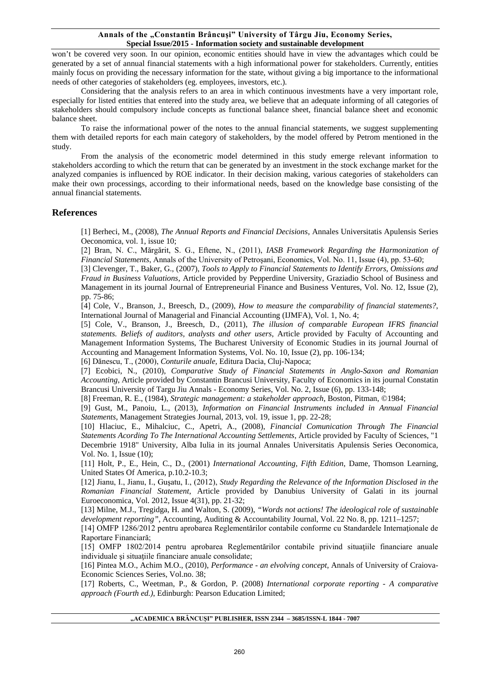won't be covered very soon. In our opinion, economic entities should have in view the advantages which could be generated by a set of annual financial statements with a high informational power for stakeholders. Currently, entities mainly focus on providing the necessary information for the state, without giving a big importance to the informational needs of other categories of stakeholders (eg. employees, investors, etc.).

Considering that the analysis refers to an area in which continuous investments have a very important role, especially for listed entities that entered into the study area, we believe that an adequate informing of all categories of stakeholders should compulsory include concepts as functional balance sheet, financial balance sheet and economic balance sheet.

To raise the informational power of the notes to the annual financial statements, we suggest supplementing them with detailed reports for each main category of stakeholders, by the model offered by Petrom mentioned in the study.

From the analysis of the econometric model determined in this study emerge relevant information to stakeholders according to which the return that can be generated by an investment in the stock exchange market for the analyzed companies is influenced by ROE indicator. In their decision making, various categories of stakeholders can make their own processings, according to their informational needs, based on the knowledge base consisting of the annual financial statements.

## **References**

[1] Berheci, M., (2008), *The Annual Reports and Financial Decisions*, Annales Universitatis Apulensis Series Oeconomica, vol. 1, issue 10;

[2] Bran, N. C., Mărgărit, S. G., Eftene, N., (2011), *IASB Framework Regarding the Harmonization of Financial Statements*, Annals of the University of Petroşani, Economics, Vol. No. 11, Issue (4), pp. 53-60;

[3] Clevenger, T., Baker, G., (2007), *Tools to Apply to Financial Statements to Identify Errors, Omissions and Fraud in Business Valuations*, Article provided by Pepperdine University, Graziadio School of Business and Management in its journal Journal of Entrepreneurial Finance and Business Ventures, Vol. No. 12, Issue (2), pp. 75-86;

[4] Cole, V., Branson, J., Breesch, D., (2009), *How to measure the comparability of financial statements?*, International Journal of Managerial and Financial Accounting (IJMFA), Vol. 1, No. 4;

[5] Cole, V., Branson, J., Breesch, D., (2011), *The illusion of comparable European IFRS financial statements. Beliefs of auditors, analysts and other users*, Article provided by Faculty of Accounting and Management Information Systems, The Bucharest University of Economic Studies in its journal Journal of Accounting and Management Information Systems, Vol. No. 10, Issue (2), pp. 106-134;

[6] Dănescu, T., (2000), *Conturile anuale,* Editura Dacia, Cluj-Napoca;

[7] Ecobici, N., (2010), *Comparative Study of Financial Statements in Anglo-Saxon and Romanian Accounting*, Article provided by Constantin Brancusi University, Faculty of Economics in its journal Constatin Brancusi University of Targu Jiu Annals - Economy Series, Vol. No. 2, Issue (6), pp. 133-148;

[8] Freeman, R. E., (1984), *Strategic management: a stakeholder approach*, Boston, Pitman, ©1984;

[9] Gust, M., Panoiu, L., (2013), *Information on Financial Instruments included in Annual Financial Statements*, Management Strategies Journal, 2013, vol. 19, issue 1, pp. 22-28;

[10] Hlaciuc, E., Mihalciuc, C., Apetri, A., (2008), *Financial Comunication Through The Financial Statements Acording To The International Accounting Settlements*, Article provided by Faculty of Sciences, "1 Decembrie 1918" University, Alba Iulia in its journal Annales Universitatis Apulensis Series Oeconomica, Vol. No. 1, Issue (10);

[11] Holt, P., E., Hein, C., D., (2001) *International Accounting, Fifth Edition*, Dame, Thomson Learning, United States Of America, p.10.2-10.3;

[12] Jianu, I., Jianu, I., Guşatu, I., (2012), *Study Regarding the Relevance of the Information Disclosed in the Romanian Financial Statement*, Article provided by Danubius University of Galati in its journal Euroeconomica, Vol. 2012, Issue 4(31), pp. 21-32;

[13] Milne, M.J., Tregidga, H. and Walton, S. (2009), *"Words not actions! The ideological role of sustainable development reporting"*, Accounting, Auditing & Accountability Journal, Vol. 22 No. 8, pp. 1211–1257;

[14] OMFP 1286/2012 pentru aprobarea Reglementărilor contabile conforme cu Standardele Internationale de Raportare Financiară;

[15] OMFP 1802/2014 pentru aprobarea Reglementărilor contabile privind situatiile financiare anuale individuale si situatiile financiare anuale consolidate;

[16] Pintea M.O., Achim M.O., (2010), *Performance - an elvolving concept*, Annals of University of Craiova-Economic Sciences Series, Vol.no. 38;

[17] Roberts, C., Weetman, P., & Gordon, P. (2008) *International corporate reporting - A comparative approach (Fourth ed.)*, Edinburgh: Pearson Education Limited;

**"ACADEMICA BRÂNCUŞI" PUBLISHER, ISSN 2344 – 3685/ISSN-L 1844 - 7007**